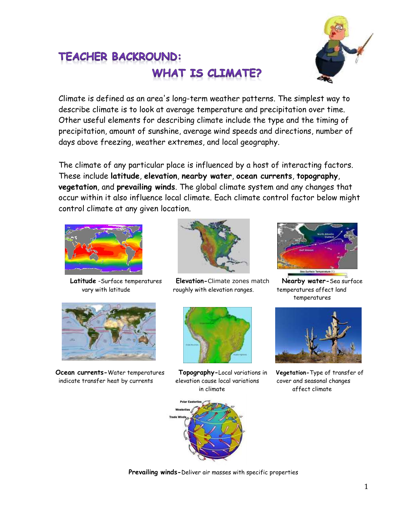

## TEACHER BACKROUND: **WHAT IS CLIMATE?**

Climate is defined as an area's long-term weather patterns. The simplest way to describe climate is to look at average temperature and precipitation over time. Other useful elements for describing climate include the type and the timing of precipitation, amount of sunshine, average wind speeds and directions, number of days above freezing, weather extremes, and local geography.

The climate of any particular place is influenced by a host of interacting factors. These include **latitude**, **elevation**, **nearby water**, **ocean currents**, **topography**, **vegetation**, and **prevailing winds**. The global climate system and any changes that occur within it also influence local climate. Each climate control factor below might control climate at any given location.





**Ocean currents-**Water temperatures **Topography-**Local variations in **Vegetation-**Type of transfer of indicate transfer heat by currents elevation cause local variations cover and seasonal changes



 **Latitude** -Surface temperatures **Elevation-**Climate zones match **Nearby water-**Sea surface vary with latitude roughly with elevation ranges. temperatures affect land



in climate affect climate



temperatures





**Prevailing winds-**Deliver air masses with specific properties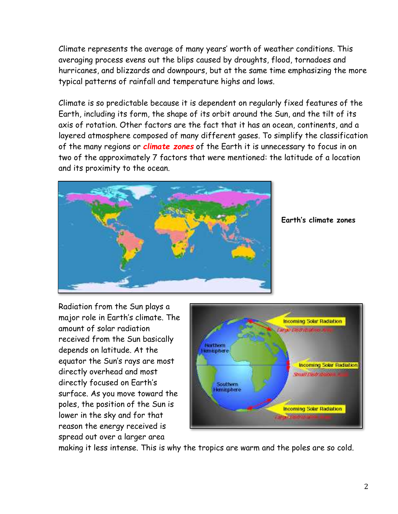Climate represents the average of many years' worth of weather conditions. This averaging process evens out the blips caused by droughts, flood, tornadoes and hurricanes, and blizzards and downpours, but at the same time emphasizing the more typical patterns of rainfall and temperature highs and lows.

Climate is so predictable because it is dependent on regularly fixed features of the Earth, including its form, the shape of its orbit around the Sun, and the tilt of its axis of rotation. Other factors are the fact that it has an ocean, continents, and a layered atmosphere composed of many different gases. To simplify the classification of the many regions or *climate zones* of the Earth it is unnecessary to focus in on two of the approximately 7 factors that were mentioned: the latitude of a location and its proximity to the ocean.



**Earth's climate zones**

Radiation from the Sun plays a major role in Earth's climate. The amount of solar radiation received from the Sun basically depends on latitude. At the equator the Sun's rays are most directly overhead and most directly focused on Earth's surface. As you move toward the poles, the position of the Sun is lower in the sky and for that reason the energy received is spread out over a larger area



making it less intense. This is why the tropics are warm and the poles are so cold.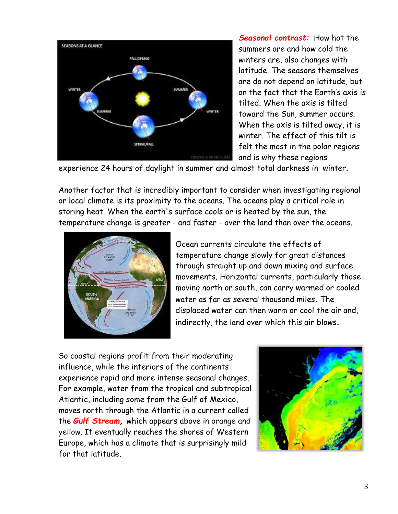

*Seasonal contrast:* How hot the summers are and how cold the winters are, also changes with latitude. The seasons themselves are do not depend on latitude, but on the fact that the Earth's axis is tilted. When the axis is tilted toward the Sun, summer occurs. When the axis is tilted away, it is winter. The effect of this tilt is felt the most in the polar regions and is why these regions

experience 24 hours of daylight in summer and almost total darkness in winter.

Another factor that is incredibly important to consider when investigating regional or local climate is its proximity to the oceans. The oceans play a critical role in storing heat. When the earth's surface cools or is heated by the sun, the temperature change is greater - and faster - over the land than over the oceans.



Ocean currents circulate the effects of temperature change slowly for great distances through straight up and down mixing and surface movements. Horizontal currents, particularly those moving north or south, can carry warmed or cooled water as far as several thousand miles. The displaced water can then warm or cool the air and, indirectly, the land over which this air blows.

So coastal regions profit from their moderating influence, while the interiors of the continents experience rapid and more intense seasonal changes. For example, water from the tropical and subtropical Atlantic, including some from the Gulf of Mexico, moves north through the Atlantic in a current called the *Gulf Stream,* which appears above in orange and yellow. It eventually reaches the shores of Western Europe, which has a climate that is surprisingly mild for that latitude.